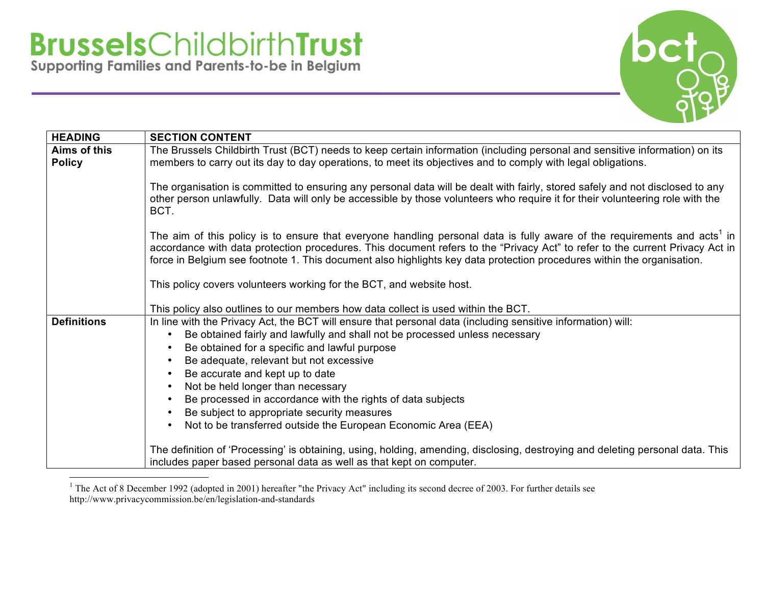

| <b>HEADING</b>     | <b>SECTION CONTENT</b>                                                                                                                                                                                                                                                                                                                                                                         |
|--------------------|------------------------------------------------------------------------------------------------------------------------------------------------------------------------------------------------------------------------------------------------------------------------------------------------------------------------------------------------------------------------------------------------|
| Aims of this       | The Brussels Childbirth Trust (BCT) needs to keep certain information (including personal and sensitive information) on its                                                                                                                                                                                                                                                                    |
| <b>Policy</b>      | members to carry out its day to day operations, to meet its objectives and to comply with legal obligations.                                                                                                                                                                                                                                                                                   |
|                    | The organisation is committed to ensuring any personal data will be dealt with fairly, stored safely and not disclosed to any<br>other person unlawfully. Data will only be accessible by those volunteers who require it for their volunteering role with the<br>BCT.                                                                                                                         |
|                    | The aim of this policy is to ensure that everyone handling personal data is fully aware of the requirements and acts <sup>1</sup> in<br>accordance with data protection procedures. This document refers to the "Privacy Act" to refer to the current Privacy Act in<br>force in Belgium see footnote 1. This document also highlights key data protection procedures within the organisation. |
|                    | This policy covers volunteers working for the BCT, and website host.                                                                                                                                                                                                                                                                                                                           |
|                    | This policy also outlines to our members how data collect is used within the BCT.                                                                                                                                                                                                                                                                                                              |
| <b>Definitions</b> | In line with the Privacy Act, the BCT will ensure that personal data (including sensitive information) will:                                                                                                                                                                                                                                                                                   |
|                    | Be obtained fairly and lawfully and shall not be processed unless necessary                                                                                                                                                                                                                                                                                                                    |
|                    | Be obtained for a specific and lawful purpose<br>$\bullet$                                                                                                                                                                                                                                                                                                                                     |
|                    | Be adequate, relevant but not excessive<br>$\bullet$                                                                                                                                                                                                                                                                                                                                           |
|                    | Be accurate and kept up to date<br>$\bullet$                                                                                                                                                                                                                                                                                                                                                   |
|                    | Not be held longer than necessary<br>$\bullet$                                                                                                                                                                                                                                                                                                                                                 |
|                    | Be processed in accordance with the rights of data subjects<br>$\bullet$                                                                                                                                                                                                                                                                                                                       |
|                    | Be subject to appropriate security measures<br>$\bullet$                                                                                                                                                                                                                                                                                                                                       |
|                    | Not to be transferred outside the European Economic Area (EEA)                                                                                                                                                                                                                                                                                                                                 |
|                    | The definition of 'Processing' is obtaining, using, holding, amending, disclosing, destroying and deleting personal data. This<br>includes paper based personal data as well as that kept on computer.                                                                                                                                                                                         |

<sup>&</sup>lt;sup>1</sup> The Act of 8 December 1992 (adopted in 2001) hereafter "the Privacy Act" including its second decree of 2003. For further details see http://www.privacycommission.be/en/legislation-and-standards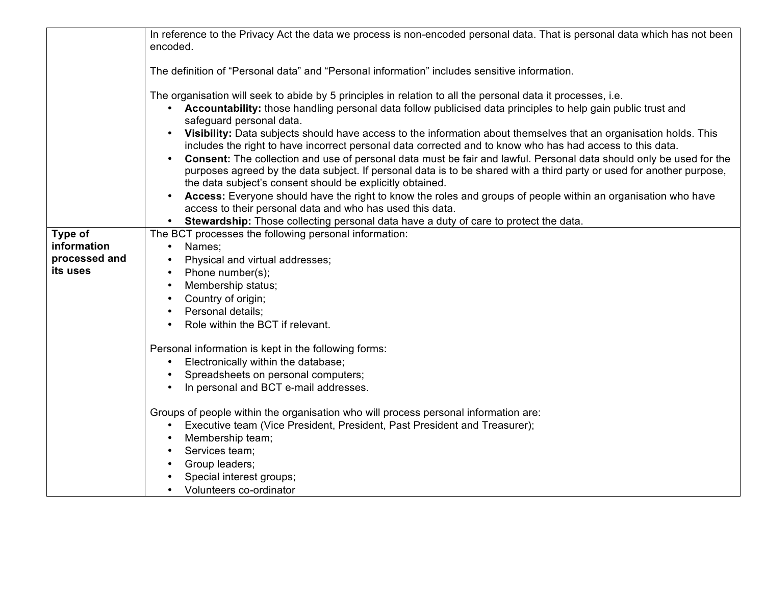|               | In reference to the Privacy Act the data we process is non-encoded personal data. That is personal data which has not been |
|---------------|----------------------------------------------------------------------------------------------------------------------------|
|               | encoded.                                                                                                                   |
|               |                                                                                                                            |
|               | The definition of "Personal data" and "Personal information" includes sensitive information.                               |
|               | The organisation will seek to abide by 5 principles in relation to all the personal data it processes, i.e.                |
|               | • Accountability: those handling personal data follow publicised data principles to help gain public trust and             |
|               | safeguard personal data.                                                                                                   |
|               | Visibility: Data subjects should have access to the information about themselves that an organisation holds. This          |
|               | includes the right to have incorrect personal data corrected and to know who has had access to this data.                  |
|               | Consent: The collection and use of personal data must be fair and lawful. Personal data should only be used for the        |
|               | purposes agreed by the data subject. If personal data is to be shared with a third party or used for another purpose,      |
|               | the data subject's consent should be explicitly obtained.                                                                  |
|               | Access: Everyone should have the right to know the roles and groups of people within an organisation who have              |
|               | access to their personal data and who has used this data.                                                                  |
|               | Stewardship: Those collecting personal data have a duty of care to protect the data.<br>$\bullet$                          |
| Type of       | The BCT processes the following personal information:                                                                      |
| information   | Names;<br>$\bullet$                                                                                                        |
| processed and | Physical and virtual addresses;                                                                                            |
| its uses      | Phone number(s);                                                                                                           |
|               | Membership status;                                                                                                         |
|               | Country of origin;                                                                                                         |
|               | Personal details:                                                                                                          |
|               | Role within the BCT if relevant.                                                                                           |
|               |                                                                                                                            |
|               | Personal information is kept in the following forms:                                                                       |
|               | Electronically within the database;                                                                                        |
|               | Spreadsheets on personal computers;                                                                                        |
|               | In personal and BCT e-mail addresses.<br>$\bullet$                                                                         |
|               | Groups of people within the organisation who will process personal information are:                                        |
|               | Executive team (Vice President, President, Past President and Treasurer);<br>$\bullet$                                     |
|               | Membership team;                                                                                                           |
|               | Services team;                                                                                                             |
|               | Group leaders;                                                                                                             |
|               | Special interest groups;                                                                                                   |
|               | • Volunteers co-ordinator                                                                                                  |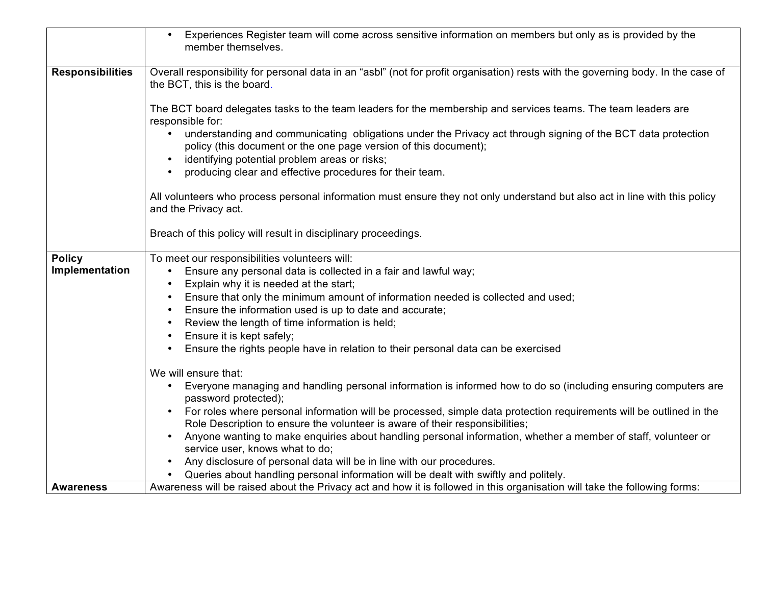|                         | Experiences Register team will come across sensitive information on members but only as is provided by the<br>member themselves.                                                                                                  |
|-------------------------|-----------------------------------------------------------------------------------------------------------------------------------------------------------------------------------------------------------------------------------|
| <b>Responsibilities</b> | Overall responsibility for personal data in an "asbl" (not for profit organisation) rests with the governing body. In the case of<br>the BCT, this is the board.                                                                  |
|                         | The BCT board delegates tasks to the team leaders for the membership and services teams. The team leaders are<br>responsible for:                                                                                                 |
|                         | understanding and communicating obligations under the Privacy act through signing of the BCT data protection<br>policy (this document or the one page version of this document);<br>identifying potential problem areas or risks; |
|                         | producing clear and effective procedures for their team.                                                                                                                                                                          |
|                         | All volunteers who process personal information must ensure they not only understand but also act in line with this policy<br>and the Privacy act.                                                                                |
|                         | Breach of this policy will result in disciplinary proceedings.                                                                                                                                                                    |
| <b>Policy</b>           | To meet our responsibilities volunteers will:                                                                                                                                                                                     |
| Implementation          | Ensure any personal data is collected in a fair and lawful way;<br>Explain why it is needed at the start;                                                                                                                         |
|                         | Ensure that only the minimum amount of information needed is collected and used;                                                                                                                                                  |
|                         | Ensure the information used is up to date and accurate;                                                                                                                                                                           |
|                         | Review the length of time information is held;                                                                                                                                                                                    |
|                         | Ensure it is kept safely;                                                                                                                                                                                                         |
|                         | Ensure the rights people have in relation to their personal data can be exercised                                                                                                                                                 |
|                         | We will ensure that:                                                                                                                                                                                                              |
|                         | Everyone managing and handling personal information is informed how to do so (including ensuring computers are<br>password protected);                                                                                            |
|                         | For roles where personal information will be processed, simple data protection requirements will be outlined in the<br>Role Description to ensure the volunteer is aware of their responsibilities;                               |
|                         | Anyone wanting to make enquiries about handling personal information, whether a member of staff, volunteer or<br>service user, knows what to do;                                                                                  |
|                         | Any disclosure of personal data will be in line with our procedures.                                                                                                                                                              |
|                         | Queries about handling personal information will be dealt with swiftly and politely.                                                                                                                                              |
| <b>Awareness</b>        | Awareness will be raised about the Privacy act and how it is followed in this organisation will take the following forms:                                                                                                         |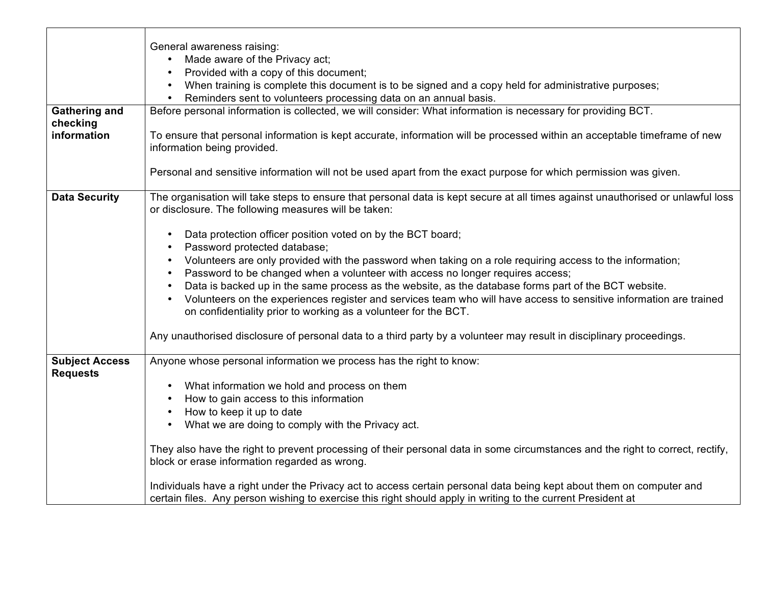|                                          | General awareness raising:                                                                                                                                                                                                                                                                                              |
|------------------------------------------|-------------------------------------------------------------------------------------------------------------------------------------------------------------------------------------------------------------------------------------------------------------------------------------------------------------------------|
|                                          | Made aware of the Privacy act;<br>$\bullet$                                                                                                                                                                                                                                                                             |
|                                          | Provided with a copy of this document;                                                                                                                                                                                                                                                                                  |
|                                          | When training is complete this document is to be signed and a copy held for administrative purposes;                                                                                                                                                                                                                    |
|                                          | Reminders sent to volunteers processing data on an annual basis.<br>$\bullet$<br>Before personal information is collected, we will consider: What information is necessary for providing BCT.                                                                                                                           |
| <b>Gathering and</b><br>checking         |                                                                                                                                                                                                                                                                                                                         |
| information                              | To ensure that personal information is kept accurate, information will be processed within an acceptable timeframe of new<br>information being provided.                                                                                                                                                                |
|                                          | Personal and sensitive information will not be used apart from the exact purpose for which permission was given.                                                                                                                                                                                                        |
| <b>Data Security</b>                     | The organisation will take steps to ensure that personal data is kept secure at all times against unauthorised or unlawful loss<br>or disclosure. The following measures will be taken:                                                                                                                                 |
|                                          | Data protection officer position voted on by the BCT board;<br>$\bullet$<br>Password protected database;                                                                                                                                                                                                                |
|                                          | Volunteers are only provided with the password when taking on a role requiring access to the information;<br>$\bullet$                                                                                                                                                                                                  |
|                                          | Password to be changed when a volunteer with access no longer requires access;<br>$\bullet$                                                                                                                                                                                                                             |
|                                          | Data is backed up in the same process as the website, as the database forms part of the BCT website.<br>$\bullet$<br>Volunteers on the experiences register and services team who will have access to sensitive information are trained<br>$\bullet$<br>on confidentiality prior to working as a volunteer for the BCT. |
|                                          | Any unauthorised disclosure of personal data to a third party by a volunteer may result in disciplinary proceedings.                                                                                                                                                                                                    |
| <b>Subject Access</b><br><b>Requests</b> | Anyone whose personal information we process has the right to know:                                                                                                                                                                                                                                                     |
|                                          | What information we hold and process on them<br>$\bullet$                                                                                                                                                                                                                                                               |
|                                          | How to gain access to this information                                                                                                                                                                                                                                                                                  |
|                                          | How to keep it up to date<br>$\bullet$                                                                                                                                                                                                                                                                                  |
|                                          | What we are doing to comply with the Privacy act.<br>$\bullet$                                                                                                                                                                                                                                                          |
|                                          | They also have the right to prevent processing of their personal data in some circumstances and the right to correct, rectify,<br>block or erase information regarded as wrong.                                                                                                                                         |
|                                          | Individuals have a right under the Privacy act to access certain personal data being kept about them on computer and<br>certain files. Any person wishing to exercise this right should apply in writing to the current President at                                                                                    |